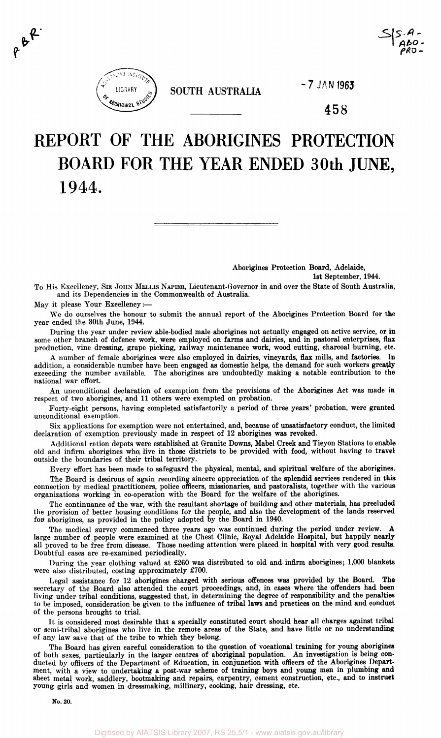

 $P \cdot P$ 

**SOUTH AUSTRALIA** 

**7 JAN 1963** 

458

**I At>o-**

# REPORT OF THE ABORIGINES PROTECTION BOARD FOR THE YEAR ENDED 30th JUNE, 1944.

Aborigines Protection Board, Adelaide, 1st September, 1944.

To His Excellency, SIR JOHN MELLIS NAPIER, Lieutenant-Governor in and over the State of South Australia, and its Dependencies in the Commonwealth of Australia.

May it please Your Excellency:—

We do ourselves the honour to submit the annual report of the Aborigines Protection Board for the year ended the 30th June, 1944.

During the year under review able-bodied male aborigines not actually engaged on active service, or in some other branch of defence work, were employed on farms and dairies, and in pastoral enterprises, **flax**  production, vine dressing, grape picking, railway maintenance work, wood cutting, charcoal burning, etc.

A number of female aborigines were also employed in dairies, vineyards, flax mills, and factories. In addition, a considerable number have been engaged as domestic helps, the demand for such workers **greatly**  exceeding the number available. The aborigines are undoubtedly making a notable contribution to the national war effort.

An unconditional declaration of exemption from the provisions of the Aborigines Act was made in respect of two aborigines, and 11 others were exempted on probation.

Forty-eight persons, having completed satisfactorily a period of three years' probation, were granted unconditional exemption.

Six applications for exemption were not entertained, and, because of unsatisfactory conduct, the limited declaration of exemption previously made in respect of 12 aborigines was revoked.

Additional ration depots were established at Granite Downs, Mabel Creek and Tieyon Stations to enable old and infirm aborigines who, live in those districts to be provided with food, without having to travel outside the boundaries of their tribal territory.

Every effort has been made to safeguard the physical, mental, and spiritual welfare of the aborigines.

The Board is desirous of again recording sincere appreciation of the splendid services rendered in this connection by medical practitioners, police officers, missionaries, and pastoralists, together with the various organizations working in co-operation with the Board for the welfare of the aborigines.

The continuance of the war, with the resultant shortage of building and other materials, has precluded the provision of better housing conditions for the people, and also the development of the lands reserved for aborigines, as provided in the policy adopted by the Board in 1940.

The medical survey commenced three years ago was continued during the period under review. A large number of people were examined at the Chest Clinic, Royal Adelaide Hospital, but happily nearly all proved to be free from disease. Those needing attention were placed in hospital with very good results. Doubtful cases are re-examined periodically.

During the year clothing valued at £260 was distributed to old and infirm aborigines; 1,000 blankets were also distributed, costing approximately £700.

Legal assistance for 12 aborigines charged with serious offences was provided by the Board. **The**  secretary of the Board also attended the court proceedings, and, in cases where the offenders had been living under tribal conditions, suggested that, in determining the degree of responsibility and the penalties to be imposed, consideration be given to the influence of tribal laws and practices on the mind and conduct of the persons brought to trial.

It is considered most desirable that a specially constituted court should hear all charges against tribal or semi-tribal aborigines who live in the remote areas of the State, and have little or no understanding of any law save that of the tribe to which they belong.

The Board has given careful consideration to the question of vocational training for young aborigines of both sexes, particularly in the larger centres of aboriginal population. An investigation is being conducted by officers of the Department of Education, in conjunction with officers of the Aborigines Department, with a view to undertaking a post-war scheme of training boys and young men in plumbing **and**  sheet metal work, saddlery, bootmaking and repairs, carpentry, cement construction, etc, and to **instruct**  young girls and women in dressmaking, millinery, cooking, hair dressing, etc.

**No. 20.**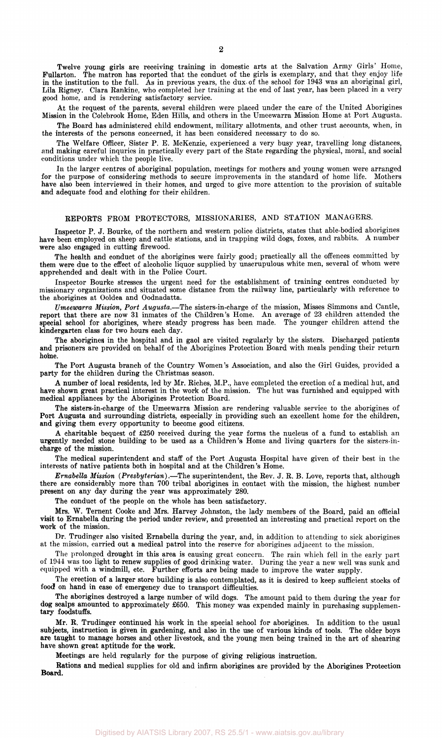Twelve young girls are receiving training in domestic arts at the Salvation Army Girls' Home, Fullarton. The matron has reported that the conduct of the girls is exemplary, and that they enjoy life in the institution to the full. As in previous years, the dux- of the school for 1943 was an aboriginal girl, Lila Rigney. Clara Rankine, who completed her training at the end of last year, has been placed in a very good home, and is rendering satisfactory service.

At the request of the parents, several children were placed under the care of the United Aborigines Mission in the Colebrook Home, Eden Hills, and others in the Umeewarra Mission Home at Port Augusta.

The Board has administered child endowment, military allotments, and other trust accounts, when, in the interests of the persons concerned, it has been considered necessary to do so.

The Welfare Officer, Sister P. E. McKenzie, experienced a very busy year, travelling long distances, and making careful inquries in practically every part of the State regarding the physical, moral, and social conditions under which the people live.

In the larger centres of aboriginal population, meetings for mothers and young women were arranged for the purpose of considering methods to secure improvements in the standard of home life. Mothers have also been interviewed in their homes, and urged to give more attention to the provision of suitable and adequate food and clothing for their children.

## REPORTS FROM PROTECTORS, MISSIONARIES, AND STATION MANAGERS.

Inspector P. J. Bourke, of the northern and western police districts, states that able-bodied aborigines have been employed on sheep and cattle stations, and in trapping wild dogs, foxes, and rabbits. A number were also engaged in cutting firewood.

The health and conduct of the aborigines were fairly good; practically all the offences committed by them were due to the effect of alcoholic liquor supplied by unscrupulous white men, several of whom were apprehended and dealt with in the Police Court.

Inspector Bourke stresses the urgent need for the establishment of training centres conducted by missionary organizations and situated some distance from the railway line, particularly with reference to the aborigines at Ooldea and Oodnadatta.

*Umeewarra Mission, Port Augusta.*—The sisters-in-charge of the mission, Misses Simmons and Cantle, report that there are now 31 inmates of the Children's Home. An average of 23 children attended the special school for aborigines, where steady progress has been made. The younger children attend the kindergarten class for two hours each day.

The aborigines in the hospital and in gaol are visited regularly by the sisters. Discharged patients and prisoners are provided on behalf of the Aborigines Protection Board with meals pending their return home.

The Port Augusta branch of the Country Women's Association, and also the Girl Guides, provided a party for the children during the Christmas season.

A number of local residents, led by Mr. Riches, M.P., have completed the erection of a medical hut, and have shown great practical interest in the work of the mission. The hut was furnished and equipped with medical appliances by the Aborigines Protection Board.

The sisters-in-charge of the Umeewarra Mission are rendering valuable service to the aborigines of Port Augusta and surrounding districts, especially in providing such an excellent home for the children, and giving them every opportunity to become good citizens.

A charitable bequest of £250 received during the year forms the nucleus of a fund to establish an urgently needed stone building to be used as a Children's Home and living quarters for the sisters-incharge of the mission.

The medical superintendent and staff of the Port Augusta Hospital have given of their best in the interests of native patients both in hospital and at the Children's Home.

*Ernabella Mission (Presbyterian).*—The superintendent, the Rev. J. R. B. Love, reports that, although there are considerably more than 700 tribal aborigines in contact with the mission, the highest number present on any day during the year was approximately 280.

The conduct of the people on the whole has been satisfactory.

Mrs. W. Ternent Cooke and Mrs. Harvey Johnston, the lady members of the Board, paid an official visit to Ernabella during the period under review, and presented an interesting and practical report on the work of the mission.

Dr. Trudinger also visited Ernabella during the year, and, in addition to attending to sick aborigines at the mission, carried out a medical patrol into the reserve for aborigines adjacent to the mission.

The prolonged drought in this area is causing great concern. The rain which fell in the early part of 1944 was too light to renew supplies of good drinking water. During the year a new well was sunk and equipped with a windmill, etc. Further efforts are being made to improve the water supply.

The erection of a larger store building is also contemplated, as it is desired to keep sufficient stocks of food on hand in case of emergency due to transport difficulties.

The aborigines destroyed a large number of wild dogs. The amount paid to them during the year for dog scalps amounted to approximately £650. This money was expended mainly in purchasing supplementary foodstuffs.

Mr. R. Trudinger continued his work in the special school for aborigines. In addition to the usual subjects, instruction is given in gardening, and also in the use of various kinds of tools. The older boys are taught to manage horses and other livestock, and the young men being trained in the art of shearing have shown great aptitude for the work.

Meetings are held regularly for the purpose of giving religious instruction.

Rations and medical supplies for old and infirm aborigines are provided by the Aborigines Protection Board.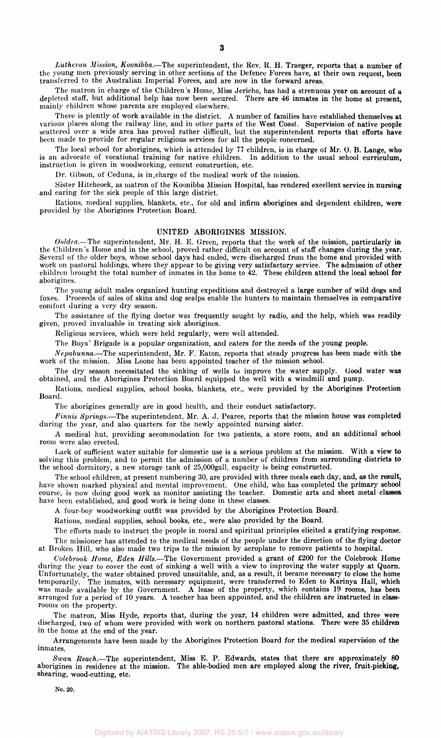Lutheran Mission, Koonibba.-The superintendent, the Rev. R. H. Traeger, reports that a number of the young men previously serving in other sections of the Defence forces have, at their own request, been transferred to the Australian Imperial Forces, and are now in the forward areas.

The matron in charge of the Children's Home, Miss Jericho, has had a strenuous year on account **of** a depleted staff, but additional help has now been secured. There are 46 inmates in the **home** at present, mainly children whose parents are employed elsewhere.

There is plently of work available in the district. A number of families have established themselves at various places along the railway line, and in other parts of the West Coast. Supervision of native people scattered over a wide area has proved rather difficult, but the superintendent reports that efforts **have**  been made to provide for regular religious services for all the people concerned.

The local school for aborigines, which is attended by 77 children, is in charge of **Mr. 0. B. Lange, who**  is an advocate of vocational training for native children. In addition to the usual school **curriculum,**  instruction is given in woodworking, cement construction, etc.

Dr. Gibson, of Ceduna, is in.charge of the medical work of the mission.

Sister Hitchcock, as matron of the Koonibba Mission Hospital, has rendered excellent service **in nursing**  and caring for the sick people of this large district.

Rations, medical supplies, blankets, etc., for old and infirm aborigines and dependent children, were provided by the Aborigines Protection Board.

#### **UNITED ABORIGINES** MISSION.

*Ooldea.*—The superintendent, Mr. H. E. Green, reports that the work of the mission, particularly in the Children's Home and in the school, proved rather difficult on account of staff changes during the year. Several of the older boys, whose school days had ended, were discharged from the home and provided **with**  work on pastoral holdings, where they appear to be giving very satisfactory service. The admission of **other**  children brought the total number of inmates in the home to 42. These children attend the **local school for**  aborigines.

The young adult males organized hunting expeditions and destroyed a large number of wild dogs and foxes. Proceeds of sales of skins and dog scalps enable the hunters to maintain themselves in comparative comfort during a very dry season.

The assistance of the flying doctor was frequently sought by radio, and the help, which was readily given, proved invaluable in treating sick aborigines.

Religious services, which were held regularly, were well attended.

The Boys' Brigade is a popular organization, and eaters for the needs of the young people.

*N epabunna.*—The superintendent, Mr. F. Eaton, reports that steady progress has been made with the work of the mission. Miss Loone has been appointed teacher of the mission school.

The dry season necessitated the sinking of wells to improve the water supply. Good water **was**  obtained, and the Aborigines Protection Board equipped the well with a windmill and pump.

Rations, medical supplies, school books, blankets, etc., were provided by the Aborigines Protection Board.

The aborigines generally are in good health, and their conduct satisfactory.

*Finnis Springs.*—The superintendent, Mr. A. J. Pearce, reports that the mission house was completed during the year, and also quarters for the newly appointed nursing sister.

A medical hut, providing accommodation for two patients, a store room, and an additional **school**  room were also erected.

Lack of sufficient water suitable for domestic use is a serious problem at the mission. With a view to solving this problem, and to permit the admission of a number of children from surrounding districts to the school dormitory, a new storage tank of 25,000gall. capacity is being constructed.

The school children, at present numbering 30, are provided with three meals each day, **and, as** the **result,**  have shown marked physical and mental improvement. One child, who has completed the primary **school**  course, is now doing good work as monitor assisting the teacher. Domestic arts and sheet metal classes have been established, and good work is being done in these classes.

A four-boy woodworking outfit was provided by the Aborigines Protection Board.

Rations, medical supplies, school books, etc., were also provided by the Board.

The efforts made to instruct the people in moral and spiritual principles elicited a gratifying response. The missioner has attended to the medical needs of the people under the direction of the flying doctor at Broken Hill, who also made two trips to the mission by aeroplane to remove patients to hospital.

*Colebrook Home, Eden Hills.*—The Government provided a grant of £200 for the Colebrook Home during the year to cover the cost of sinking a well with a view to improving the water supply **at Quorn.**  Unfortunately, the water obtained proved unsuitable, and, as a result, it became necessary to close the home temporarily. The inmates, with necessary equipment, were transferred to Eden to Karinya **Hall, which**  was made available by the Government. A lease of the property, which contains 19 rooms, has been arranged for a period of 10 years. A teacher has been appointed, and the children are instructed in classrooms on the property.

The matron, Miss Hyde, reports that, during the year, 14 children were admitted, **and** three **were**  discharged, two of whom were provided with work on northern pastoral stations. There were 35 **children**  in the home at the end of the year.

Arrangements have been made by the Aborigines Protection Board for the medical supervision **of** the inmates.

*Swan Reach.*—The superintendent, Miss E. P. Edwards, states that there are approximately 80 aborigines in residence at the **mission. The able-bodied men are employed along the river, fruit-pickings**  shearing, wood-cutting, etc.

**No. 20.**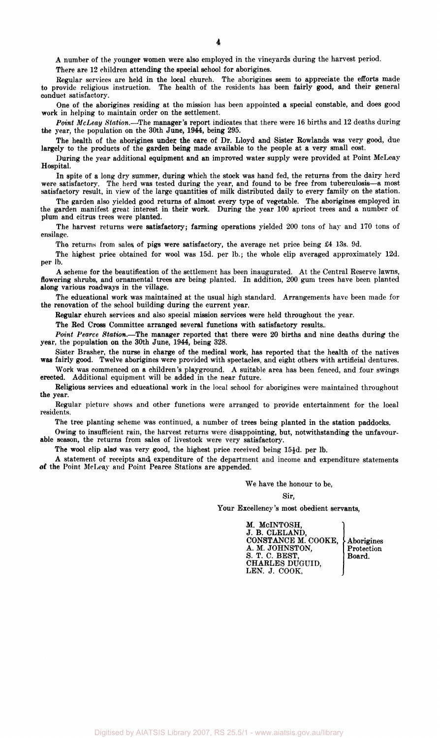A number of the younger women were also employed in the vineyards during the harvest period.

There are 12 children attending the special school for aborigines.

Regular services are held in the local church. The aborigines seem to appreciate the efforts made to provide religious instruction. The health of the residents has been fairly good, and their general conduct satisfactory.

One of the aborigines residing at the mission has been appointed a special constable, and does good work in helping to maintain order on the settlement.

*Point McLeay Station.*—The manager's report indicates that there were 16 births and 12 deaths during the year, the population on the 30th June, 1944, being 295.

The health of the aborigines under, the care of Dr. Lloyd and Sister Rowlands was very good, due largely to the products of the garden being made available to the people at a very small cost.

During the year additional equipment and an improved water supply were provided at Point McLeay Hospital.

In spite of a long dry summer, during which the stock was hand fed, the returns from the dairy herd were satisfactory. The herd was tested during the year, and found to be free from tuberculosis—a most satisfactory result, in view of the large quantities of milk distributed daily to every family on the station.

The garden also yielded good returns of almost every type of vegetable. The aborigines employed in the garden manifest great interest in their work. During the year 100 apricot trees and a number of plum and citrus trees were planted.

The harvest returns were satisfactory; farming operations yielded 200 tons of hay and 170 tons of ensilage.

The returns from sales of pigs were satisfactory, the average net price being £4 13s. 9d.

The highest price obtained for wool was 15d. per lb.; the whole clip averaged approximately 12d. per lb.

A scheme for the beautification of the settlement has been inaugurated. At the Central Reserve lawns, flowering shrubs, and ornamental trees are being planted. In addition, 200 gum trees have been planted along various roadways in the village.

The educational work was maintained at the usual high standard. Arrangements have been made for the renovation of the school building during the current year.

Regular church services and also special mission services were held throughout the year.

The Red Cross Committee arranged several functions with satisfactory results.,

*Point Pearce Station.*—The manager reported that there were 20 births and nine deaths during the year, the population on the 30th June, 1944, being 328.

Sister Brasher, the nurse in charge of the medical work, has reported that the health of the natives was fairly good. Twelve aborigines were provided with spectacles, and eight others with artificial dentures.

Work was commenced on a children's playground. A suitable area has been fenced, and four swings erected. Additional equipment will be added in the near future.

Religious services and educational work in the local school for aborigines were maintained throughout the year.

Regular picture shows and other functions were arranged to provide entertainment for the local residents.

The tree planting scheme was continued, a number of trees being planted in the station paddocks.

Owing to insufficient rain, the harvest returns were disappointing, but, notwithstanding the unfavourable season, the returns from sales of livestock were very satisfactory.

The wool clip also was very good, the highest price received being  $15\frac{1}{2}d$ . per lb.

A statement of receipts and expenditure of the department and income and expenditure statements of the Point McLeay and Point Pearce Stations are appended.

We have the honour to be,

Sir,

Your Excellency's most obedient servants,

M. McINTOSH, J. B. CLELAND, J. B. CLELAND, CONSTANCE M. COOKE, Aborigines A. M. JOHNSTON, Protection  $S. T. C. BEST,$  Board. CHARLES DUGUID, LEN. J. COOK,

Digitised by AIATSIS Library 2007, RS 25.5/1 - www.aiatsis.gov.au/library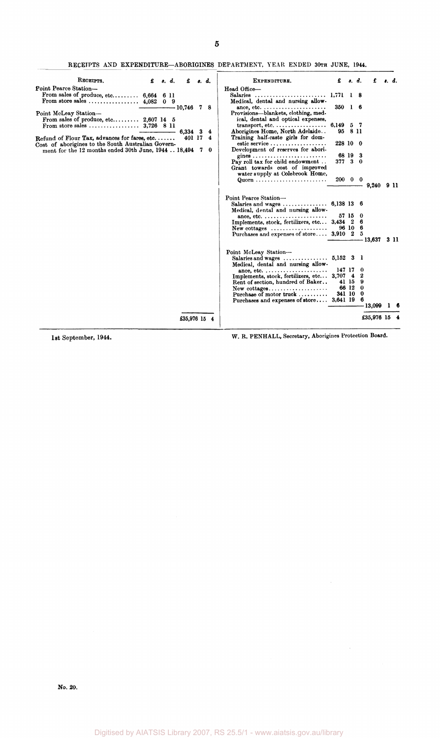**5** 

RECEIPTS AND EXPENDITURE-ABORIGINES DEPARTMENT, YEAR ENDED 30TH JUNE, 1944.

| RECEIPTS.                                                                | £ | 8. d. | £         |              | s. d. | EXPENDITURE.                                                                                                 |                       |         | s. d.   |              |      |
|--------------------------------------------------------------------------|---|-------|-----------|--------------|-------|--------------------------------------------------------------------------------------------------------------|-----------------------|---------|---------|--------------|------|
| Point Pearce Station-                                                    |   |       |           |              |       | Head Office-                                                                                                 |                       |         |         |              |      |
| From sales of produce, etc $6,664$ 6 11                                  |   |       |           |              |       |                                                                                                              |                       | 18      |         |              |      |
|                                                                          |   |       |           |              |       | Medical, dental and nursing allow-                                                                           |                       |         |         |              |      |
|                                                                          |   |       | -- 10,746 |              | 78    | ance, etc. $\dots \dots \dots \dots \dots \dots \dots \dots$                                                 | $350 \quad 1 \quad 6$ |         |         |              |      |
| Point McLeay Station-                                                    |   |       |           |              |       | Provisions-blankets, clothing, med-                                                                          |                       |         |         |              |      |
| From sales of produce, etc $2,607$ 14 5<br>From store sales $3,726$ 8 11 |   |       |           |              |       | ical, dental and optical expenses,<br>$transport, etc. \ldots \ldots \ldots \ldots$                          | 6,149 5 7             |         |         |              |      |
|                                                                          |   |       |           | 6,334 3      | 4     | Aborigines Home, North Adelaide                                                                              |                       | 95 8 11 |         |              |      |
| Refund of Flour Tax, advances for fares, etc                             |   |       |           | 401 17       | 4     | Training half-caste girls for dom-                                                                           |                       |         |         |              |      |
| Cost of aborigines to the South Australian Govern-                       |   |       |           |              |       | estic service                                                                                                | 228 10 0              |         |         |              |      |
| ment for the 12 months ended 30th June, 1944 18,494 7 0                  |   |       |           |              |       | Development of reserves for abori-                                                                           |                       |         |         |              |      |
|                                                                          |   |       |           |              |       |                                                                                                              |                       | 68 19   | -3      |              |      |
|                                                                          |   |       |           |              |       | Pay roll tax for child endowment                                                                             | 377, 30               |         |         |              |      |
|                                                                          |   |       |           |              |       | Grant towards cost of improved                                                                               |                       |         |         |              |      |
|                                                                          |   |       |           |              |       | water supply at Colebrook Home,                                                                              | $200 \t 0 \t 0$       |         |         |              |      |
|                                                                          |   |       |           |              |       |                                                                                                              |                       |         |         | 9,240 9 11   |      |
|                                                                          |   |       |           |              |       |                                                                                                              |                       |         |         |              |      |
|                                                                          |   |       |           |              |       | Point Pearce Station-                                                                                        |                       |         |         |              |      |
|                                                                          |   |       |           |              |       | Salaries and wages $6,138$ 13 6                                                                              |                       |         |         |              |      |
|                                                                          |   |       |           |              |       | Medical, dental and nursing allow-                                                                           |                       |         |         |              |      |
|                                                                          |   |       |           |              |       | ance, etc. $\dots \dots \dots \dots \dots \dots \dots$                                                       |                       |         | 57 15 0 |              |      |
|                                                                          |   |       |           |              |       | Implements, stock, fertilizers, etc 3,434 2 6<br>$New \text{ cottages } \dots \dots \dots \dots \dots \dots$ |                       |         | 96106   |              |      |
|                                                                          |   |       |           |              |       | Purchases and expenses of store 3,910 2                                                                      |                       |         | 5       |              |      |
|                                                                          |   |       |           |              |       |                                                                                                              |                       |         |         | 13,637       | 3 11 |
|                                                                          |   |       |           |              |       |                                                                                                              |                       |         |         |              |      |
|                                                                          |   |       |           |              |       | Point McLeay Station-                                                                                        |                       |         |         |              |      |
|                                                                          |   |       |           |              |       | Salaries and wages $\dots\dots\dots\dots\dots$ 5,152 3 1                                                     |                       |         |         |              |      |
|                                                                          |   |       |           |              |       | Medical, dental and nursing allow-                                                                           |                       |         |         |              |      |
|                                                                          |   |       |           |              |       | ance, etc. $\dots \dots \dots \dots \dots \dots \dots$<br>Implements, stock, fertilizers, etc 3,707 4 2      | 147 17                |         | -0      |              |      |
|                                                                          |   |       |           |              |       | Rent of section, hundred of Baker                                                                            |                       |         | 41 15 9 |              |      |
|                                                                          |   |       |           |              |       | $New \text{ cottages.} \dots \dots \dots \dots \dots \dots$                                                  |                       |         | 66 12 0 |              |      |
|                                                                          |   |       |           |              |       | Purchase of motor truck                                                                                      | 341 10 0              |         |         |              |      |
|                                                                          |   |       |           |              |       | Purchases and expenses of store 3,641 19 6                                                                   |                       |         |         |              |      |
|                                                                          |   |       |           |              |       |                                                                                                              |                       |         |         | - 13,099     |      |
|                                                                          |   |       |           | £35,976 15 4 |       |                                                                                                              |                       |         |         | £35,976 15 4 |      |

1st September, 1944. W. R. PENHALL, Secretary, Aborigines Protection Board.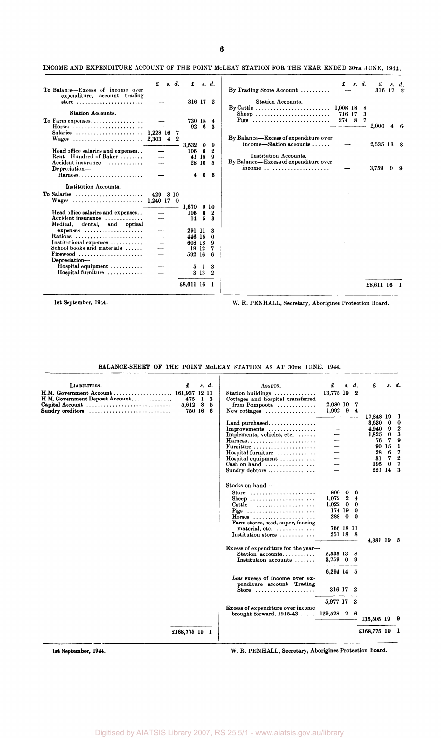## INCOME AND EXPENDITURE ACCOUNT OF THE POINT MCLEAY STATION FOR THE YEAR ENDED 30TH JUNE, 1944.

| To Balance-Excess of income over<br>expenditure, account trading                          | £                        | s. d. | £                        |              | s. d.            | By Trading Store Account $\ldots \ldots$                                         | £               | s. d.  | £<br>316 17 2 | s. d.          |
|-------------------------------------------------------------------------------------------|--------------------------|-------|--------------------------|--------------|------------------|----------------------------------------------------------------------------------|-----------------|--------|---------------|----------------|
| $store \dots \dots \dots \dots \dots \dots \dots \dots \dots$<br><b>Station Accounts.</b> |                          |       |                          | 316 17 2     |                  | Station Accounts.<br>By Cattle $\dots \dots \dots \dots \dots \dots \dots \dots$ | 1,008 18        | 8      |               |                |
| To Farm expenses                                                                          |                          |       |                          | 730 18       | 4                | Sheep<br>Pigs                                                                    | 716 17<br>274 8 | 3<br>7 |               |                |
| Horses                                                                                    |                          |       | 92                       | -6           | 3                |                                                                                  |                 |        | $2{,}000$     | $4\quad 6$     |
| Salaries  1,228 16<br>Wages $\ldots \ldots \ldots \ldots \ldots \ldots \ldots 2,303$      |                          | 42    | 7<br>3,532               | $\mathbf{0}$ | 9                | By Balance—Excess of expenditure over<br>$income—Station accounts \ldots$        |                 |        | 2,535 13 8    |                |
| Head office salaries and expenses                                                         |                          |       | 106                      | 6            | $\boldsymbol{2}$ |                                                                                  |                 |        |               |                |
| Rent--Hundred of Baker<br>Accident insurance                                              |                          |       | 41                       | 15<br>28 10  | 9<br>5           | Institution Accounts.<br>By Balance-Excess of expenditure over                   |                 |        |               |                |
| Depreciation-<br>$Harnes 3, \ldots, \ldots, \ldots, \ldots, \ldots, \ldots$               |                          |       | 4                        | $\mathbf{0}$ | 6                | income $\ldots \ldots \ldots \ldots \ldots \ldots \ldots$                        |                 |        | 3,759         | 0 <sub>9</sub> |
| Institution Accounts.                                                                     |                          |       |                          |              |                  |                                                                                  |                 |        |               |                |
| To Salaries<br>Wages                                                                      | 429 3 10<br>$1,240$ 17 0 |       |                          |              |                  |                                                                                  |                 |        |               |                |
| Head office salaries and expenses                                                         |                          |       | $1,670 \quad 010$<br>106 | 6            | 2                |                                                                                  |                 |        |               |                |
| Accident insurance $\ldots$<br>Medical, dental, and optical                               |                          |       | 14                       | 5            | 3                |                                                                                  |                 |        |               |                |
| $expeness$                                                                                |                          |       |                          | 291 11       |                  |                                                                                  |                 |        |               |                |
| Rations                                                                                   |                          |       |                          | 446 15       | 0                |                                                                                  |                 |        |               |                |
| Institutional expenses                                                                    | -----                    |       |                          | 608 18       | 9                |                                                                                  |                 |        |               |                |
| School books and materials                                                                |                          |       |                          | 19 12        | 7                |                                                                                  |                 |        |               |                |
| Firewood<br>Depreciation-                                                                 |                          |       |                          | 592 16       | -6               |                                                                                  |                 |        |               |                |
| Hospital equipment                                                                        |                          |       | 5                        | 1            | 3                |                                                                                  |                 |        |               |                |
| Hospital furniture                                                                        |                          |       |                          | 3 13         | 2                |                                                                                  |                 |        |               |                |
|                                                                                           |                          |       | £8,611 16                |              |                  |                                                                                  |                 |        | £8.611 16     |                |

1st September, 1944. W. R. PENHALL, Secretary, Aborigines Protection Board.

BALANCE-SHEET OF THE POINT MOLEAY STATION AS AT 30TH JUNE, 1944.

| LIABILITIES.<br>H.M. Government Account<br>H.M. Government Deposit Account | £<br>161,937 12 11<br>475. | s. d.<br>$\mathbf{1}$ | 3 | ASSETS.<br>Station buildings<br>Cottages and hospital transferred                                                                                                                                                              | £<br>13,775 19 2                                                                              | s. d.  | £                                                                |                                                | s. d.                                                |
|----------------------------------------------------------------------------|----------------------------|-----------------------|---|--------------------------------------------------------------------------------------------------------------------------------------------------------------------------------------------------------------------------------|-----------------------------------------------------------------------------------------------|--------|------------------------------------------------------------------|------------------------------------------------|------------------------------------------------------|
| Capital Account<br>Sundry creditors                                        | 5,612<br>750 16 6          | 8                     | 5 | from Pompoota<br>New cottages $\dots\dots\dots\dots\dots\dots$                                                                                                                                                                 | 2,080 10 7<br>$1,992$ 9 4                                                                     |        | 17,848 19                                                        |                                                | -1                                                   |
|                                                                            |                            |                       |   | Land purchased<br>Improvements<br>Implements, vehicles, etc.<br>Harness<br>Furniture<br>Hospital furniture<br>Hospital equipment $\dots\dots\dots\dots$<br>Cash on hand $\dots\dots\dots\dots\dots\dots$<br>Sundry debtors     |                                                                                               |        | 3,630<br>4,940<br>1,825<br>76<br>90<br>28<br>31<br>195<br>221 14 | -0<br>-9<br>$\bf{0}$<br>7<br>15<br>6<br>7<br>0 | 0<br>2<br>3<br>9<br>1<br>7<br>$\mathbf{2}$<br>7<br>3 |
|                                                                            |                            |                       |   | Stocks on hand-<br>Store $\ldots \ldots \ldots \ldots \ldots \ldots$<br>Sheep<br>Cattle $\ldots \ldots \ldots \ldots \ldots$<br>Pigs<br>$H$ orses<br>Farm stores, seed, super, fencing<br>material, etc.<br>Institution stores | 806 0<br>$1,072$ 2<br>$1,022 \quad 0 \quad 0$<br>174 19 0<br>288 0 0<br>766 18 11<br>251 18 8 | 6<br>4 | 4.381 19 5                                                       |                                                |                                                      |
|                                                                            |                            |                       |   | Excess of expenditure for the year-<br>Station accounts<br>Institution accounts                                                                                                                                                | 2,535 13 8<br>3,759 0 9                                                                       |        |                                                                  |                                                |                                                      |
|                                                                            |                            |                       |   | Less excess of income over ex-<br>penditure account Trading<br>Store $\ldots \ldots \ldots \ldots \ldots \ldots$                                                                                                               | 6,294 14 5<br>316 17                                                                          | 2      |                                                                  |                                                |                                                      |
|                                                                            |                            |                       |   | Excess of expenditure over income                                                                                                                                                                                              | 5,977 17 3                                                                                    |        |                                                                  |                                                |                                                      |
|                                                                            |                            |                       |   | brought forward, $1915-43$ $129,528$ 2 6                                                                                                                                                                                       |                                                                                               |        | 135,505 19                                                       |                                                |                                                      |
|                                                                            | £168,775 19 1              |                       |   |                                                                                                                                                                                                                                |                                                                                               |        | £168,775 19                                                      |                                                |                                                      |
|                                                                            |                            |                       |   |                                                                                                                                                                                                                                |                                                                                               |        |                                                                  |                                                |                                                      |

**lst** September, 1944. W. R. PENHALL, Secretary, Aborigines Protection Board.